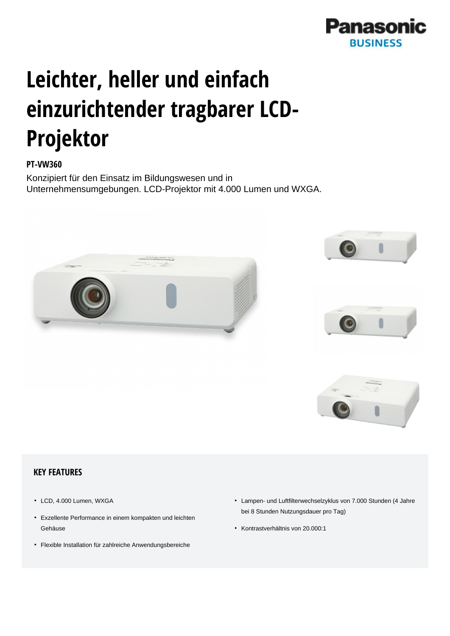

# **Leichter, heller und einfach einzurichtender tragbarer LCD-Projektor**

## **PT-VW360**

Konzipiert für den Einsatz im Bildungswesen und in Unternehmensumgebungen. LCD-Projektor mit 4.000 Lumen und WXGA.



#### **KEY FEATURES**

- LCD, 4.000 Lumen, WXGA
- Exzellente Performance in einem kompakten und leichten Gehäuse
- Flexible Installation für zahlreiche Anwendungsbereiche
- Lampen- und Luftfilterwechselzyklus von 7.000 Stunden (4 Jahre bei 8 Stunden Nutzungsdauer pro Tag)
- Kontrastverhältnis von 20.000:1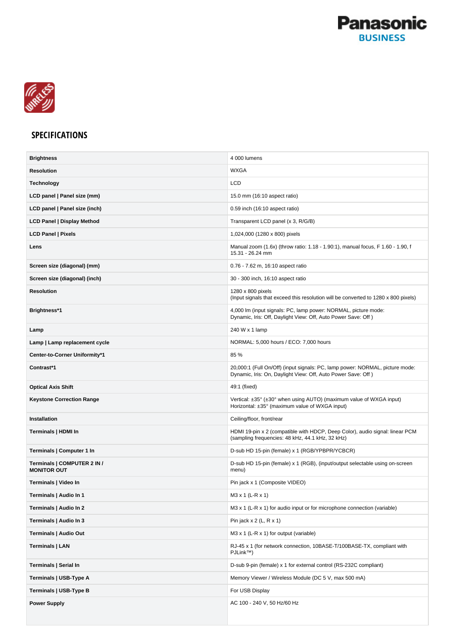



### **SPECIFICATIONS**

| <b>Brightness</b>                                 | 4 000 lumens                                                                                                                                 |
|---------------------------------------------------|----------------------------------------------------------------------------------------------------------------------------------------------|
| <b>Resolution</b>                                 | <b>WXGA</b>                                                                                                                                  |
| <b>Technology</b>                                 | <b>LCD</b>                                                                                                                                   |
| LCD panel   Panel size (mm)                       | 15.0 mm (16:10 aspect ratio)                                                                                                                 |
| LCD panel   Panel size (inch)                     | 0.59 inch (16:10 aspect ratio)                                                                                                               |
| <b>LCD Panel   Display Method</b>                 | Transparent LCD panel (x 3, R/G/B)                                                                                                           |
| <b>LCD Panel   Pixels</b>                         | 1,024,000 (1280 x 800) pixels                                                                                                                |
| Lens                                              | Manual zoom (1.6x) (throw ratio: 1.18 - 1.90:1), manual focus, F 1.60 - 1.90, f<br>15.31 - 26.24 mm                                          |
| Screen size (diagonal) (mm)                       | 0.76 - 7.62 m, 16:10 aspect ratio                                                                                                            |
| Screen size (diagonal) (inch)                     | 30 - 300 inch, 16:10 aspect ratio                                                                                                            |
| <b>Resolution</b>                                 | 1280 x 800 pixels<br>(Input signals that exceed this resolution will be converted to 1280 x 800 pixels)                                      |
| Brightness*1                                      | 4,000 lm (input signals: PC, lamp power: NORMAL, picture mode:<br>Dynamic, Iris: Off, Daylight View: Off, Auto Power Save: Off)              |
| Lamp                                              | 240 W x 1 lamp                                                                                                                               |
| Lamp   Lamp replacement cycle                     | NORMAL: 5,000 hours / ECO: 7,000 hours                                                                                                       |
| Center-to-Corner Uniformity*1                     | 85 %                                                                                                                                         |
| Contrast*1                                        | 20,000:1 (Full On/Off) (input signals: PC, lamp power: NORMAL, picture mode:<br>Dynamic, Iris: On, Daylight View: Off, Auto Power Save: Off) |
| <b>Optical Axis Shift</b>                         | 49:1 (fixed)                                                                                                                                 |
| Keystone Correction Range                         | Vertical: ±35° (±30° when using AUTO) (maximum value of WXGA input)<br>Horizontal: ±35° (maximum value of WXGA input)                        |
| <b>Installation</b>                               | Ceiling/floor, front/rear                                                                                                                    |
| Terminals   HDMI In                               | HDMI 19-pin x 2 (compatible with HDCP, Deep Color), audio signal: linear PCM<br>(sampling frequencies: 48 kHz, 44.1 kHz, 32 kHz)             |
| Terminals   Computer 1 In                         | D-sub HD 15-pin (female) x 1 (RGB/YPBPR/YCBCR)                                                                                               |
| Terminals   COMPUTER 2 IN /<br><b>MONITOR OUT</b> | D-sub HD 15-pin (female) x 1 (RGB), (input/output selectable using on-screen<br>menu)                                                        |
| Terminals   Video In                              | Pin jack x 1 (Composite VIDEO)                                                                                                               |
| Terminals   Audio In 1                            | M3 x 1 (L-R x 1)                                                                                                                             |
| Terminals   Audio In 2                            | M3 $\times$ 1 (L-R $\times$ 1) for audio input or for microphone connection (variable)                                                       |
| Terminals   Audio In 3                            | Pin jack $x$ 2 (L, R $x$ 1)                                                                                                                  |
| Terminals   Audio Out                             | $M3 \times 1$ (L-R $\times$ 1) for output (variable)                                                                                         |
| Terminals   LAN                                   | RJ-45 x 1 (for network connection, 10BASE-T/100BASE-TX, compliant with<br>PJLink™)                                                           |
| Terminals   Serial In                             | D-sub 9-pin (female) x 1 for external control (RS-232C compliant)                                                                            |
| Terminals   USB-Type A                            | Memory Viewer / Wireless Module (DC 5 V, max 500 mA)                                                                                         |
| Terminals   USB-Type B                            | For USB Display                                                                                                                              |
| <b>Power Supply</b>                               | AC 100 - 240 V, 50 Hz/60 Hz                                                                                                                  |